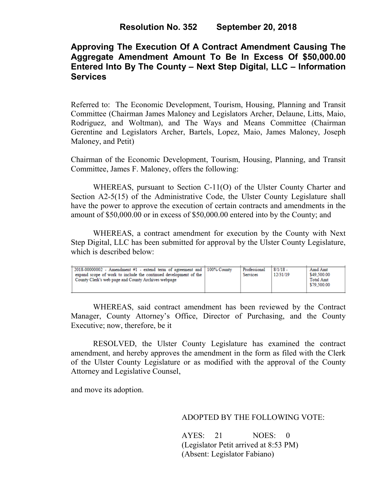# **Approving The Execution Of A Contract Amendment Causing The Aggregate Amendment Amount To Be In Excess Of \$50,000.00 Entered Into By The County – Next Step Digital, LLC – Information Services**

Referred to: The Economic Development, Tourism, Housing, Planning and Transit Committee (Chairman James Maloney and Legislators Archer, Delaune, Litts, Maio, Rodriguez, and Woltman), and The Ways and Means Committee (Chairman Gerentine and Legislators Archer, Bartels, Lopez, Maio, James Maloney, Joseph Maloney, and Petit)

Chairman of the Economic Development, Tourism, Housing, Planning, and Transit Committee, James F. Maloney, offers the following:

WHEREAS, pursuant to Section C-11(O) of the Ulster County Charter and Section A2-5(15) of the Administrative Code, the Ulster County Legislature shall have the power to approve the execution of certain contracts and amendments in the amount of \$50,000.00 or in excess of \$50,000.00 entered into by the County; and

WHEREAS, a contract amendment for execution by the County with Next Step Digital, LLC has been submitted for approval by the Ulster County Legislature, which is described below:

| $2018-00000002$ - Amendment #1 - extend term of agreement and $\mid 100\%$ County<br>expand scope of work to include the continued development of the<br>County Clerk's web page and County Archives webpage | Professional<br><b>Services</b> | $8/1/18$ -<br>12/31/19 | Amd Amt<br>\$49,500.00<br><b>Total Amt</b><br>\$79,500.00 |
|--------------------------------------------------------------------------------------------------------------------------------------------------------------------------------------------------------------|---------------------------------|------------------------|-----------------------------------------------------------|
|                                                                                                                                                                                                              |                                 |                        |                                                           |

WHEREAS, said contract amendment has been reviewed by the Contract Manager, County Attorney's Office, Director of Purchasing, and the County Executive; now, therefore, be it

RESOLVED, the Ulster County Legislature has examined the contract amendment, and hereby approves the amendment in the form as filed with the Clerk of the Ulster County Legislature or as modified with the approval of the County Attorney and Legislative Counsel,

and move its adoption.

### ADOPTED BY THE FOLLOWING VOTE:

AYES: 21 NOES: 0 (Legislator Petit arrived at 8:53 PM) (Absent: Legislator Fabiano)